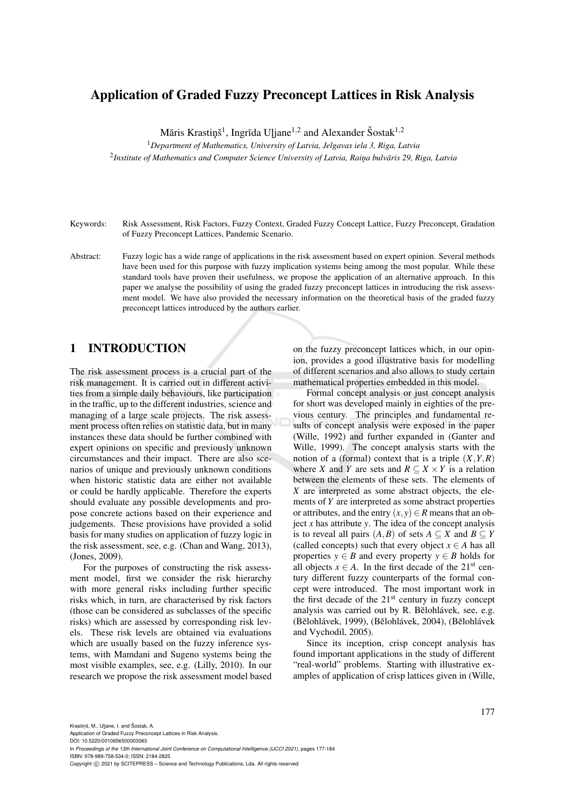## Application of Graded Fuzzy Preconcept Lattices in Risk Analysis

Māris Krastiņš<sup>1</sup>, Ingrīda Uļjane<sup>1,2</sup> and Alexander Šostak<sup>1,2</sup>

<sup>1</sup>*Department of Mathematics, University of Latvia, Jelgavas iela 3, Riga, Latvia*

2 *Institute of Mathematics and Computer Science University of Latvia, Rain¸a bulvaris 29, Riga, Latvia ¯*

- Keywords: Risk Assessment, Risk Factors, Fuzzy Context, Graded Fuzzy Concept Lattice, Fuzzy Preconcept, Gradation of Fuzzy Preconcept Lattices, Pandemic Scenario.
- Abstract: Fuzzy logic has a wide range of applications in the risk assessment based on expert opinion. Several methods have been used for this purpose with fuzzy implication systems being among the most popular. While these standard tools have proven their usefulness, we propose the application of an alternative approach. In this paper we analyse the possibility of using the graded fuzzy preconcept lattices in introducing the risk assessment model. We have also provided the necessary information on the theoretical basis of the graded fuzzy preconcept lattices introduced by the authors earlier.

## 1 INTRODUCTION

The risk assessment process is a crucial part of the risk management. It is carried out in different activities from a simple daily behaviours, like participation in the traffic, up to the different industries, science and managing of a large scale projects. The risk assessment process often relies on statistic data, but in many instances these data should be further combined with expert opinions on specific and previously unknown circumstances and their impact. There are also scenarios of unique and previously unknown conditions when historic statistic data are either not available or could be hardly applicable. Therefore the experts should evaluate any possible developments and propose concrete actions based on their experience and judgements. These provisions have provided a solid basis for many studies on application of fuzzy logic in the risk assessment, see, e.g. (Chan and Wang, 2013), (Jones, 2009).

For the purposes of constructing the risk assessment model, first we consider the risk hierarchy with more general risks including further specific risks which, in turn, are characterised by risk factors (those can be considered as subclasses of the specific risks) which are assessed by corresponding risk levels. These risk levels are obtained via evaluations which are usually based on the fuzzy inference systems, with Mamdani and Sugeno systems being the most visible examples, see, e.g. (Lilly, 2010). In our research we propose the risk assessment model based on the fuzzy preconcept lattices which, in our opinion, provides a good illustrative basis for modelling of different scenarios and also allows to study certain mathematical properties embedded in this model.

Formal concept analysis or just concept analysis for short was developed mainly in eighties of the previous century. The principles and fundamental results of concept analysis were exposed in the paper (Wille, 1992) and further expanded in (Ganter and Wille, 1999). The concept analysis starts with the notion of a (formal) context that is a triple  $(X, Y, R)$ where *X* and *Y* are sets and  $R \subset X \times Y$  is a relation between the elements of these sets. The elements of *X* are interpreted as some abstract objects, the elements of *Y* are interpreted as some abstract properties or attributes, and the entry  $(x, y) \in R$  means that an object *x* has attribute *y*. The idea of the concept analysis is to reveal all pairs  $(A, B)$  of sets  $A \subseteq X$  and  $B \subseteq Y$ (called concepts) such that every object  $x \in A$  has all properties  $y \in B$  and every property  $y \in B$  holds for all objects  $x \in A$ . In the first decade of the 21<sup>st</sup> century different fuzzy counterparts of the formal concept were introduced. The most important work in the first decade of the  $21<sup>st</sup>$  century in fuzzy concept analysis was carried out by R. Belohlávek, see, e.g. (Bělohlávek, 1999), (Bělohlávek, 2004), (Bělohlávek and Vychodil, 2005).

Since its inception, crisp concept analysis has found important applications in the study of different "real-world" problems. Starting with illustrative examples of application of crisp lattices given in (Wille,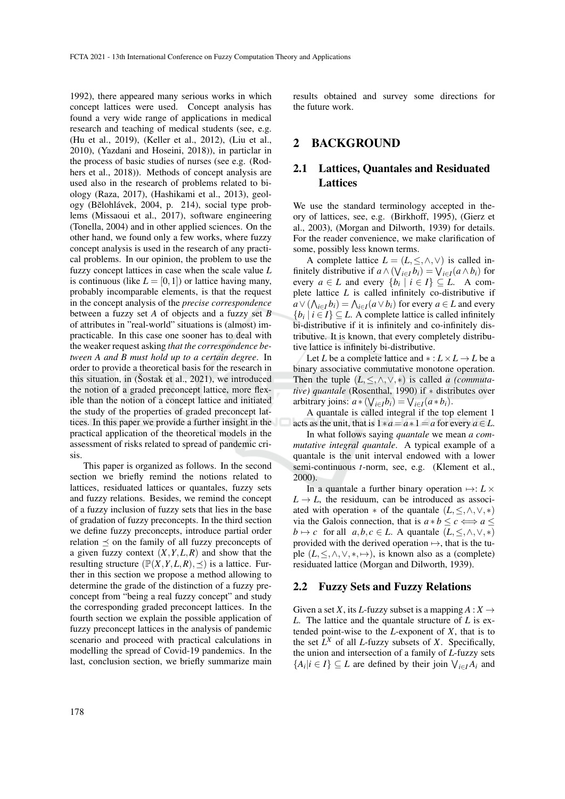1992), there appeared many serious works in which concept lattices were used. Concept analysis has found a very wide range of applications in medical research and teaching of medical students (see, e.g. (Hu et al., 2019), (Keller et al., 2012), (Liu et al., 2010), (Yazdani and Hoseini, 2018)), in particlar in the process of basic studies of nurses (see e.g. (Rodhers et al., 2018)). Methods of concept analysis are used also in the research of problems related to biology (Raza, 2017), (Hashikami et al., 2013), geology (Bělohlávek, 2004, p. 214), social type problems (Missaoui et al., 2017), software engineering (Tonella, 2004) and in other applied sciences. On the other hand, we found only a few works, where fuzzy concept analysis is used in the research of any practical problems. In our opinion, the problem to use the fuzzy concept lattices in case when the scale value *L* is continuous (like  $L = [0,1]$ ) or lattice having many, probably incomparable elements, is that the request in the concept analysis of the *precise correspondence* between a fuzzy set *A* of objects and a fuzzy set *B* of attributes in "real-world" situations is (almost) impracticable. In this case one sooner has to deal with the weaker request asking *that the correspondence between A and B must hold up to a certain degree*. In order to provide a theoretical basis for the research in this situation, in (Šostak et al.,  $2021$ ), we introduced the notion of a graded preconcept lattice, more flexible than the notion of a concept lattice and initiated the study of the properties of graded preconcept lattices. In this paper we provide a further insight in the practical application of the theoretical models in the assessment of risks related to spread of pandemic crisis.

This paper is organized as follows. In the second section we briefly remind the notions related to lattices, residuated lattices or quantales, fuzzy sets and fuzzy relations. Besides, we remind the concept of a fuzzy inclusion of fuzzy sets that lies in the base of gradation of fuzzy preconcepts. In the third section we define fuzzy preconcepts, introduce partial order relation  $\preceq$  on the family of all fuzzy preconcepts of a given fuzzy context  $(X, Y, L, R)$  and show that the resulting structure  $(\mathbb{P}(X, Y, L, R), \preceq)$  is a lattice. Further in this section we propose a method allowing to determine the grade of the distinction of a fuzzy preconcept from "being a real fuzzy concept" and study the corresponding graded preconcept lattices. In the fourth section we explain the possible application of fuzzy preconcept lattices in the analysis of pandemic scenario and proceed with practical calculations in modelling the spread of Covid-19 pandemics. In the last, conclusion section, we briefly summarize main

results obtained and survey some directions for the future work.

## 2 BACKGROUND

## 2.1 Lattices, Quantales and Residuated Lattices

We use the standard terminology accepted in theory of lattices, see, e.g. (Birkhoff, 1995), (Gierz et al., 2003), (Morgan and Dilworth, 1939) for details. For the reader convenience, we make clarification of some, possibly less known terms.

A complete lattice  $L = (L, \leq, \land, \lor)$  is called infinitely distributive if  $a \wedge (\bigvee_{i \in I} b_i) = \bigvee_{i \in I} (a \wedge b_i)$  for every  $a \in L$  and every  $\{b_i \mid i \in I\} \subseteq L$ . A complete lattice *L* is called infinitely co-distributive if  $a \vee (\bigwedge_{i \in I} b_i) = \bigwedge_{i \in I} (a \vee b_i)$  for every  $a \in L$  and every  $\{b_i \mid i \in I\} \subseteq L$ . A complete lattice is called infinitely bi-distributive if it is infinitely and co-infinitely distributive. It is known, that every completely distributive lattice is infinitely bi-distributive.

Let *L* be a complete lattice and  $* : L \times L \rightarrow L$  be a binary associative commutative monotone operation. Then the tuple  $(L, \leq, \wedge, \vee, *)$  is called *a (commutative) quantale* (Rosenthal, 1990) if ∗ distributes over arbitrary joins:  $a * (\forall_{i \in I} b_i) = \forall_{i \in I} (a * b_i).$ 

A quantale is called integral if the top element 1 acts as the unit, that is  $1*a = a*1 = a$  for every  $a \in L$ .

In what follows saying *quantale* we mean *a commutative integral quantale*. A typical example of a quantale is the unit interval endowed with a lower semi-continuous *t*-norm, see, e.g. (Klement et al., 2000).

In a quantale a further binary operation  $\mapsto: L \times$  $L \rightarrow L$ , the residuum, can be introduced as associated with operation  $*$  of the quantale  $(L, \leq, \wedge, \vee, *)$ via the Galois connection, that is  $a * b \leq c \Longleftrightarrow a \leq$  $b \mapsto c$  for all  $a, b, c \in L$ . A quantale  $(L, \leq, \wedge, \vee, *)$ provided with the derived operation  $\mapsto$ , that is the tuple  $(L, \leq, \land, \lor, *, \mapsto)$ , is known also as a (complete) residuated lattice (Morgan and Dilworth, 1939).

### 2.2 Fuzzy Sets and Fuzzy Relations

Given a set *X*, its *L*-fuzzy subset is a mapping  $A: X \rightarrow$ *L*. The lattice and the quantale structure of *L* is extended point-wise to the *L*-exponent of *X*, that is to the set  $L^X$  of all *L*-fuzzy subsets of *X*. Specifically, the union and intersection of a family of *L*-fuzzy sets  ${A_i | i \in I} \subseteq L$  are defined by their join  $\bigvee_{i \in I} A_i$  and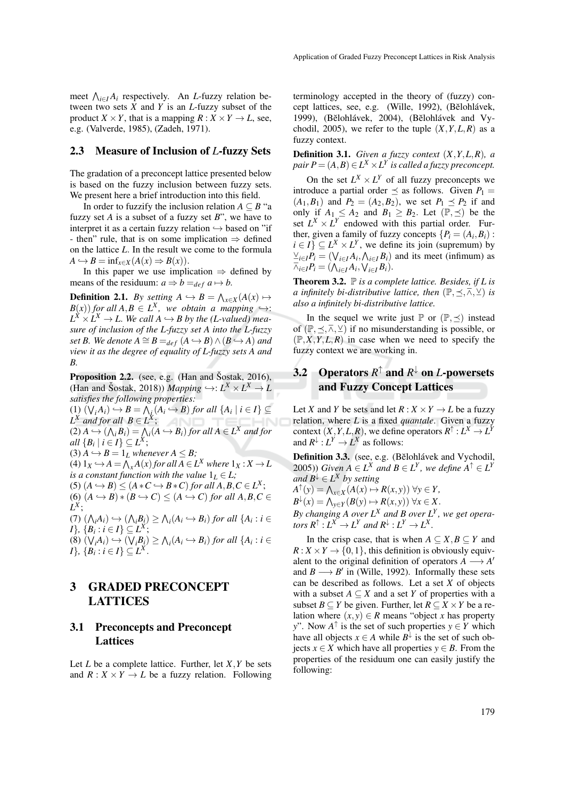meet  $\bigwedge_{i \in I} A_i$  respectively. An *L*-fuzzy relation between two sets *X* and *Y* is an *L*-fuzzy subset of the product *X* × *Y*, that is a mapping *R* : *X* × *Y*  $\rightarrow$  *L*, see, e.g. (Valverde, 1985), (Zadeh, 1971).

#### 2.3 Measure of Inclusion of *L*-fuzzy Sets

The gradation of a preconcept lattice presented below is based on the fuzzy inclusion between fuzzy sets. We present here a brief introduction into this field.

In order to fuzzify the inclusion relation  $A \subseteq B$  "a fuzzy set *A* is a subset of a fuzzy set *B*", we have to interpret it as a certain fuzzy relation  $\hookrightarrow$  based on "if - then" rule, that is on some implication  $\Rightarrow$  defined on the lattice *L*. In the result we come to the formula  $A \hookrightarrow B = \inf_{x \in X} (A(x) \Rightarrow B(x)).$ 

In this paper we use implication  $\Rightarrow$  defined by means of the residuum:  $a \Rightarrow b =_{def} a \mapsto b$ .

**Definition 2.1.** *By setting*  $A \hookrightarrow B = \bigwedge_{x \in X} (A(x) \mapsto$  $B(x)$  *for all*  $A, B \in L^X$ , we obtain a mapping  $\hookrightarrow$ :  $L^X \times L^X \to L$ . We call  $A \hookrightarrow B$  by the (L-valued) mea*sure of inclusion of the L-fuzzy set A into the L-fuzzy set B.* We denote  $A \cong B =_{def} (A \hookrightarrow B) \wedge (B \hookrightarrow A)$  and *view it as the degree of equality of L-fuzzy sets A and B.*

**Proposition 2.2.** (see, e.g. (Han and Sostak, 2016), (Han and Šostak, 2018)) *Mapping*  $\hookrightarrow$ :  $L^X \times L^X \rightarrow L$ *satisfies the following properties:*  $(1)$   $(\bigvee_i A_i) \hookrightarrow B = \bigwedge_i (A_i \hookrightarrow B)$  *for all*  $\{A_i \mid i \in I\} \subseteq$  $L^X$  *and for all*  $B \in L^X$ ;  $(2) A \hookrightarrow (\bigwedge_i B_i) = \bigwedge_i (A \hookrightarrow B_i)$  for all  $A \in L^X$  and for  $all \{B_i \mid i \in I\} \subseteq L^X;$  $(3)$   $A \hookrightarrow B = 1_L$  *whenever*  $A \leq B$ ; (4)  $1_X \hookrightarrow A = \bigwedge_x A(x)$  for all  $A \in L^X$  where  $1_X : X \to \overline{L}$ *is a constant function with the value*  $1_L \in L$ ;  $(5)$   $(A \hookrightarrow B) \leq (A * C \hookrightarrow B * C)$  *for all*  $A, B, C \in L^X$ ;  $(6)$   $(A \hookrightarrow B) * (B \hookrightarrow C) \leq (A \hookrightarrow C)$  *for all A,B,C*  $\in$ *L X* ;  $(7)$   $(\bigwedge_i A_i) \hookrightarrow (\bigwedge_i B_i) \ge \bigwedge_i (A_i \hookrightarrow B_i)$  for all  $\{A_i : i \in$  $I$ <sup>*}*</sup>, {*B*<sub>*i*</sub> : *i* ∈ *I*}  $\subseteq$  *L*<sup>*X*</sup></sub>;  $(8) (\forall_i A_i) \hookrightarrow (\forall_i B_i) \ge \bigwedge_i (A_i \hookrightarrow B_i)$  for all  $\{A_i : i \in A_i\}$  $I$ <sup>*}*</sup>,  $\{B_i : i \in I\} \subseteq L^X$ .

## 3 GRADED PRECONCEPT **LATTICES**

## 3.1 Preconcepts and Preconcept Lattices

Let *L* be a complete lattice. Further, let *X*,*Y* be sets and  $R: X \times Y \to L$  be a fuzzy relation. Following

terminology accepted in the theory of (fuzzy) concept lattices, see, e.g. (Wille, 1992), (Bĕlohlávek, 1999), (Bělohlávek, 2004), (Bělohlávek and Vychodil, 2005), we refer to the tuple  $(X, Y, L, R)$  as a fuzzy context.

Definition 3.1. *Given a fuzzy context* (*X*,*Y*,*L*,*R*)*, a*  $pair\ P=(A,B)\in L^{X}\times L^{Y}$  is called a fuzzy preconcept.

On the set  $L^X \times L^Y$  of all fuzzy preconcepts we introduce a partial order  $\leq$  as follows. Given  $P_1$  =  $(A_1, B_1)$  and  $P_2 = (A_2, B_2)$ , we set  $P_1 \le P_2$  if and only if  $A_1 \leq A_2$  and  $B_1 \geq B_2$ . Let  $(\mathbb{P}, \preceq)$  be the set  $L^X \times L^Y$  endowed with this partial order. Further, given a family of fuzzy concepts  $\{P_i = (A_i, B_i)$ :  $i \in I$   $\subseteq L^X \times L^Y$ , we define its join (supremum) by  $\veeeq_{i \in I} P_i = (\vee_{i \in I} A_i, \wedge_{i \in I} B_i)$  and its meet (infimum) as  $\overline{\wedge}_{i\in I}P_i = (\overline{\wedge}_{i\in I}A_i, \overline{\vee}_{i\in I}B_i).$ 

Theorem 3.2. P *is a complete lattice. Besides, if L is a infinitely bi-distributive lattice, then*  $(\mathbb{P}, \leq, \overline{\wedge}, \vee)$  *is also a infinitely bi-distributive lattice.*

In the sequel we write just  $\mathbb P$  or  $(\mathbb P, \preceq)$  instead of  $(\mathbb{P}, \prec, \overline{\wedge}, \vee)$  if no misunderstanding is possible, or  $(\mathbb{P}, X, Y, L, R)$  in case when we need to specify the fuzzy context we are working in.

## 3.2 Operators *R* <sup>↑</sup> and *R* <sup>↓</sup> on *L*-powersets and Fuzzy Concept Lattices

Let *X* and *Y* be sets and let  $R: X \times Y \to L$  be a fuzzy relation, where *L* is a fixed *quantale*. Given a fuzzy context  $(X, Y, L, R)$ , we define operators  $R^{\uparrow} : L^X \to L^Y$ and  $R^{\downarrow}$  :  $L^Y \rightarrow L^X$  as follows:

Definition 3.3. (see, e.g. (Bělohlávek and Vychodil, 2005)) *Given*  $A \in L^X$  *and*  $B \in L^Y$ *, we define*  $A^{\uparrow} \in L^Y$ *and*  $B$ <sup> $↓$ </sup> ∈  $L<sup>X</sup>$  *by setting* 

 $A^{\uparrow}(y) = \bigwedge_{x \in X} (A(x) \mapsto R(x, y)) \ \forall y \in Y,$  $B^{\downarrow}(x) = \bigwedge_{y \in Y} (B(y) \mapsto R(x, y)) \ \forall x \in X.$ 

*By changing A over L<sup>X</sup> and B over L<sup>Y</sup> , we get opera* $t$ *ors*  $R^{\uparrow}$  :  $L^X \rightarrow L^Y$  *and*  $R^{\downarrow}$  :  $L^Y \rightarrow L^X$ .

In the crisp case, that is when *A* ⊆ *X*, *B* ⊆ *Y* and  $R: X \times Y \rightarrow \{0,1\}$ , this definition is obviously equivalent to the original definition of operators  $A \rightarrow A'$ and  $B \longrightarrow B'$  in (Wille, 1992). Informally these sets can be described as follows. Let a set *X* of objects with a subset  $A \subseteq X$  and a set *Y* of properties with a subset *B*  $\subset$  *Y* be given. Further, let *R*  $\subset$  *X*  $\times$  *Y* be a relation where  $(x, y) \in R$  means "object *x* has property *y*". Now  $A^{\uparrow}$  is the set of such properties  $y \in Y$  which have all objects  $x \in A$  while  $B^{\downarrow}$  is the set of such objects  $x \in X$  which have all properties  $y \in B$ . From the properties of the residuum one can easily justify the following: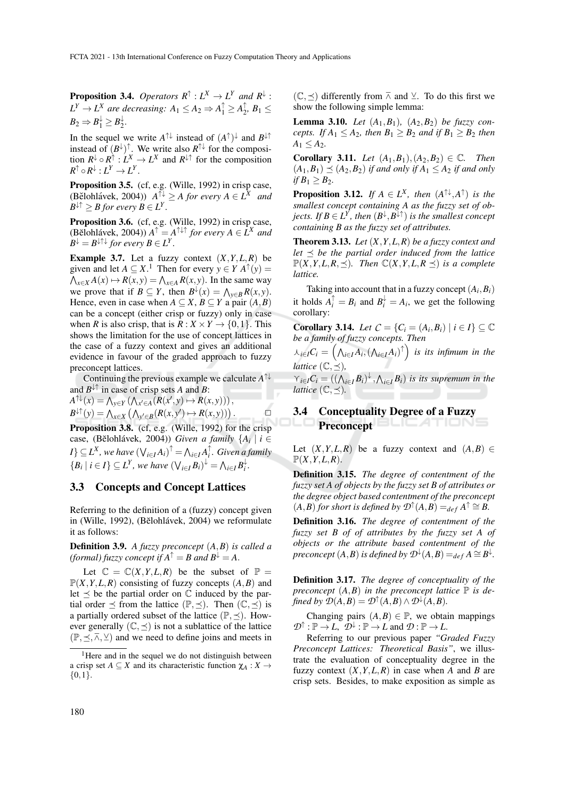**Proposition 3.4.** Operators  $R^{\uparrow} : L^X \to L^Y$  and  $R^{\downarrow}$  :  $L^Y \to L^X$  are decreasing:  $A_1 \leq A_2 \Rightarrow A_1^{\uparrow} \geq A_2^{\uparrow}$  $\frac{1}{2}$ ,  $B_1 \leq$  $B_2 \Rightarrow B_1^{\downarrow} \ge B_2^{\downarrow}$  $\frac{1}{2}$ .

In the sequel we write  $A^{\uparrow\downarrow}$  instead of  $(A^{\uparrow})^{\downarrow}$  and  $B^{\downarrow\uparrow}$ instead of  $(B^{\downarrow})^{\uparrow}$ . We write also  $R^{\uparrow\downarrow}$  for the composition  $R^{\downarrow} \circ R^{\uparrow} : L^X \to L^X$  and  $R^{\downarrow \uparrow}$  for the composition  $R^{\uparrow} \circ R^{\downarrow} : L^Y \to L^Y.$ 

Proposition 3.5. (cf, e.g. (Wille, 1992) in crisp case,  $(A \in \mathbb{R}^N)$  and  $(A \in \mathbb{R}^N)$  and  $(A \in \mathbb{R}^N)$  and  $(A \in \mathbb{R}^N)$  and  $B^{\downarrow\uparrow} \geq B$  for every  $B \in L^Y$ .

Proposition 3.6. (cf, e.g. (Wille, 1992) in crisp case,  $(A \in \mathbb{R}^N)$  *A*<sup> $\uparrow$ </sup> =  $A^{\uparrow\downarrow\uparrow}$  *for every*  $A \in \overline{L^X}$  *and*  $B^{\downarrow} = B^{\downarrow \uparrow \downarrow}$  *for every*  $B \in L^Y$ *.* 

**Example 3.7.** Let a fuzzy context  $(X, Y, L, R)$  be given and let  $A \subseteq X$ .<sup>1</sup> Then for every  $y \in Y$   $A^{\uparrow}(y) =$  $\bigwedge_{x \in X} A(x) \mapsto R(x, y) = \bigwedge_{x \in A} R(x, y)$ . In the same way we prove that if  $B \subseteq Y$ , then  $B^{\downarrow}(x) = \bigwedge_{y \in B} R(x, y)$ . Hence, even in case when  $A \subseteq X$ ,  $B \subseteq Y$  a pair  $(A, B)$ can be a concept (either crisp or fuzzy) only in case when *R* is also crisp, that is  $R: X \times Y \rightarrow \{0, 1\}$ . This shows the limitation for the use of concept lattices in the case of a fuzzy context and gives an additional evidence in favour of the graded approach to fuzzy preconcept lattices.

Continuing the previous example we calculate *A* ↑↓ and  $B^{\downarrow\uparrow}$  in case of crisp sets *A* and *B*:

 $\overline{\phantom{a}}$ 

$$
A^{\uparrow\downarrow}(x) = \bigwedge_{y \in Y} (\bigwedge_{x' \in A} (R(x', y) \mapsto R(x, y))) ,
$$
  

$$
B^{\downarrow\uparrow}(y) = \bigwedge_{x \in X} (\bigwedge_{y' \in B} (R(x, y') \mapsto R(x, y))) .
$$

Proposition 3.8. (cf, e.g. (Wille, 1992) for the crisp case, (Bělohlávek, 2004)) *Given a family*  ${A_i \mid i \in \mathbb{Z}^d}$  $I$ }  $\subseteq$  *L*<sup>X</sup>, we have  $(\bigvee_{i \in I} A_i)$ <sup>†</sup> =  $\bigwedge_{i \in I} A_i$ <sup>†</sup>. Given a family  $\{B_i \mid i \in I\} \subseteq L^Y$ , we have  $(\bigvee_{i \in I} B_i)^{\downarrow} = \bigwedge_{i \in I} B_i^{\downarrow}$ .

#### 3.3 Concepts and Concept Lattices

Referring to the definition of a (fuzzy) concept given in (Wille, 1992), (Bĕlohlávek, 2004) we reformulate it as follows:

Definition 3.9. *A fuzzy preconcept* (*A*,*B*) *is called a (formal) fuzzy concept if*  $A^{\uparrow} = B$  *and*  $B^{\downarrow} = A$ .

Let  $\mathbb{C} = \mathbb{C}(X, Y, L, R)$  be the subset of  $\mathbb{P} =$  $\mathbb{P}(X, Y, L, R)$  consisting of fuzzy concepts  $(A, B)$  and let  $\prec$  be the partial order on  $\mathbb C$  induced by the partial order  $\preceq$  from the lattice  $(\mathbb{P}, \preceq)$ . Then  $(\mathbb{C}, \preceq)$  is a partially ordered subset of the lattice  $(\mathbb{P}, \preceq)$ . However generally  $(\mathbb{C}, \preceq)$  is not a sublattice of the lattice  $(\mathbb{P}, \leq, \overline{\wedge}, \vee)$  and we need to define joins and meets in  $(\mathbb{C}, \preceq)$  differently from  $\overline{\wedge}$  and  $\vee$ . To do this first we show the following simple lemma:

**Lemma 3.10.** *Let*  $(A_1, B_1)$ *,*  $(A_2, B_2)$  *be fuzzy concepts. If*  $A_1 \leq A_2$ *, then*  $B_1 \geq B_2$  *and if*  $B_1 \geq B_2$  *then*  $A_1 \leq A_2$ .

**Corollary 3.11.** *Let*  $(A_1, B_1), (A_2, B_2) \in \mathbb{C}$ *. Then*  $(A_1, B_1) \preceq (A_2, B_2)$  *if and only if*  $A_1 \leq A_2$  *if and only if*  $B_1 \ge B_2$ *.* 

**Proposition 3.12.** *If*  $A \in L^X$ *, then*  $(A^{\uparrow\downarrow}, A^{\uparrow})$  *is the smallest concept containing A as the fuzzy set of objects.* If  $B \in L^{\overline{Y}}$ , then  $(B^{\downarrow}, B^{\downarrow\uparrow})$  is the smallest concept *containing B as the fuzzy set of attributes.*

Theorem 3.13. *Let* (*X*,*Y*,*L*,*R*) *be a fuzzy context and let*  $\preceq$  *be the partial order induced from the lattice*  $\mathbb{P}(X, Y, L, R, \leq)$ *. Then*  $\mathbb{C}(X, Y, L, R \leq)$  *is a complete lattice.*

Taking into account that in a fuzzy concept  $(A_i, B_i)$ it holds  $A_i^{\uparrow} = B_i$  and  $B_i^{\downarrow} = A_i$ , we get the following corollary:

**Corollary 3.14.** *Let*  $C = \{C_i = (A_i, B_i) | i \in I\} \subseteq \mathbb{C}$ *be a family of fuzzy concepts. Then*

 $f{A}_{i\in I}C_{i} = \left(\bigwedge_{i\in I}A_{i}, \left(\bigwedge_{i\in I}A_{i}\right)^{\uparrow}\right)$  is its infimum in the *lattice*  $(\mathbb{C}, \preceq)$ *,* 

 $\gamma_{i\in I}C_i = ((\bigwedge_{i\in I}B_i)^{\downarrow}, \bigwedge_{i\in I}B_i)$  *is its supremum in the lattice*  $(\mathbb{C}, \preceq)$ .

#### 3.4 Conceptuality Degree of a Fuzzy LICATIONS Preconcept

Let  $(X, Y, L, R)$  be a fuzzy context and  $(A, B) \in$  $\mathbb{P}(X, Y, L, R)$ .

Definition 3.15. *The degree of contentment of the fuzzy set A of objects by the fuzzy set B of attributes or the degree object based contentment of the preconcept*  $(A, B)$  *for short is defined by*  $\mathcal{D}^{\uparrow}(A, B) =_{def} A^{\uparrow} \cong B$ .

Definition 3.16. *The degree of contentment of the fuzzy set B of of attributes by the fuzzy set A of objects or the attribute based contentment of the <sup>r</sup>econcept*  $(A, B)$  *is defined by*  $\mathcal{D}^{\downarrow}(A, B) =_{def} A \cong B^{\downarrow}$ .

Definition 3.17. *The degree of conceptuality of the preconcept*  $(A, B)$  *in the preconcept lattice*  $\mathbb P$  *is defined by*  $\mathcal{D}(A,B) = \mathcal{D}^{\uparrow}(A,B) \wedge \mathcal{D}^{\downarrow}(A,B)$ *.* 

Changing pairs  $(A, B) \in \mathbb{P}$ , we obtain mappings  $\mathcal{D}^{\uparrow} : \mathbb{P} \to L$ ,  $\mathcal{D}^{\downarrow} : \mathbb{P} \to L$  and  $\mathcal{D} : \mathbb{P} \to L$ .

Referring to our previous paper *"Graded Fuzzy Preconcept Lattices: Theoretical Basis"*, we illustrate the evaluation of conceptuality degree in the fuzzy context  $(X, Y, L, R)$  in case when *A* and *B* are crisp sets. Besides, to make exposition as simple as

<sup>&</sup>lt;sup>1</sup>Here and in the sequel we do not distinguish between a crisp set  $A \subseteq X$  and its characteristic function  $\chi_A : X \to Y$  $\{0,1\}.$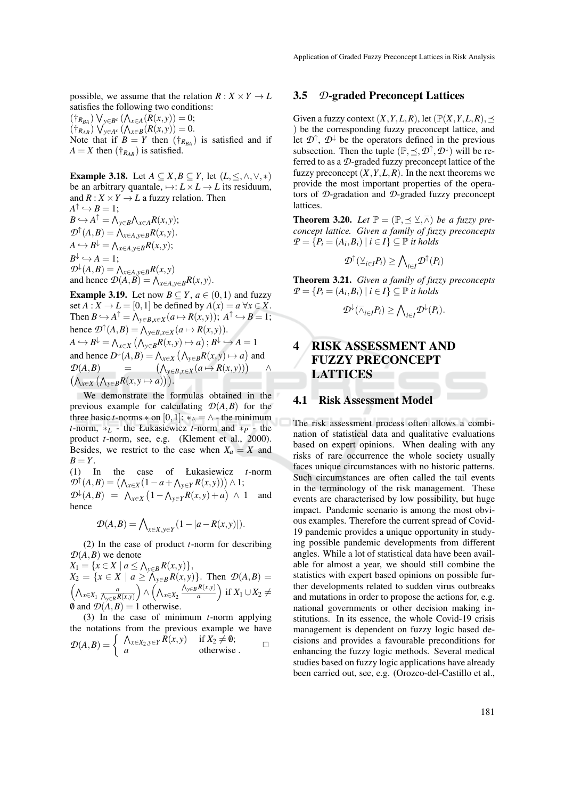possible, we assume that the relation  $R: X \times Y \to L$ satisfies the following two conditions:

 $(\dagger_{R_{BA}}) \vee_{y \in B^c} (\bigwedge_{x \in A} (R(x, y)) = 0;$  $(\dagger_{R_{AB}}) \vee_{y \in A^c} (\bigwedge_{x \in B} (R(x, y)) = 0.$ Note that if  $B = Y$  then  $(\dagger_{R_{BA}})$  is satisfied and if  $A = X$  then  $(\dagger_{R_{AB}})$  is satisfied.

**Example 3.18.** Let  $A \subseteq X, B \subseteq Y$ , let  $(L, \leq, \wedge, \vee, *)$ be an arbitrary quantale,  $\mapsto: L \times L \to L$  its residuum, and  $R: X \times Y \rightarrow L$  a fuzzy relation. Then  $A^{\uparrow} \hookrightarrow B = 1;$  $B \hookrightarrow A^{\uparrow} = \bigwedge_{y \in B} \bigwedge_{x \in A} R(x, y);$  $\mathcal{D}^{\uparrow}(A, B) = \bigwedge_{x \in A, y \in B} R(x, y).$  $A \hookrightarrow B^{\downarrow} = \bigwedge_{x \in A, y \in B} R(x, y);$  $B^{\downarrow} \hookrightarrow A = 1;$  $\mathcal{D}^{\downarrow}(A, B) = \bigwedge_{x \in A, y \in B} R(x, y)$ and hence  $\mathcal{D}(A, B) = \bigwedge_{x \in A, y \in B} R(x, y)$ .

**Example 3.19.** Let now  $B \subseteq Y$ ,  $a \in (0,1)$  and fuzzy set  $A: X \to L = [0,1]$  be defined by  $A(x) = a \,\forall x \in X$ . Then  $B \hookrightarrow A^{\uparrow} = \bigwedge_{y \in B, x \in X} (a \mapsto R(x, y)); A^{\uparrow} \hookrightarrow B = 1;$ hence  $\mathcal{D}^{\uparrow}(A, B) = \bigwedge_{y \in B, x \in X} (a \mapsto R(x, y)).$  $A \hookrightarrow B^{\downarrow} = \bigwedge_{x \in X} (\bigwedge_{y \in B} R(x, y) \mapsto a)$ ;  $B^{\downarrow} \hookrightarrow A = 1$ and hence  $D^{\downarrow}(A, B) = \bigwedge_{x \in X} (\bigwedge_{y \in B} R(x, y) \mapsto a)$  and  $\mathcal{D}(A,B)$  = *y*∈*B*,*x*∈*X*</sub> $(a \mapsto R(x,y))$ ∧  $(\bigwedge_{x \in X} (\bigwedge_{y \in B} R(x, y \mapsto a))\big)$ .

We demonstrate the formulas obtained in the previous example for calculating  $\mathcal{D}(A, B)$  for the three basic *t*-norms  $*$  on [0,1]:  $*_{\wedge} = \wedge$  - the minimum *t*-norm,  $*_{L}$  - the Łukasiewicz *t*-norm and  $*_{P}$  - the product *t*-norm, see, e.g. (Klement et al., 2000). Besides, we restrict to the case when  $X_a = X$  and  $B = Y$ .

(1) In the case of Łukasiewicz *t*-norm  $\mathcal{D}^{\uparrow}(A,B) = (\bigwedge_{x \in X} (1 - a + \bigwedge_{y \in Y} R(x,y))) \wedge 1;$  $\mathcal{D}^{\downarrow}(A,B) = \Lambda_{x \in X} (1 - \Lambda_{y \in Y} R(x, y) + a) \wedge 1$  and hence

$$
\mathcal{D}(A,B) = \bigwedge_{x \in X, y \in Y} (1 - |a - R(x,y)|).
$$

(2) In the case of product *t*-norm for describing  $D(A, B)$  we denote

*X*<sub>1</sub> = { $x ∈ X | a ≤ \Lambda_{y ∈ B} R(x, y)$ },  $X_2 = \{x \in X \mid a \ge \bigwedge_{y \in B} R(x, y)\}.$  Then  $\mathcal{D}(A, B) =$  $\left(\bigwedge_{x \in X_1} \frac{a}{\bigwedge_{y \in B} R(x,y)}\right)$ ) ∧ ( $\Lambda_{x\in X_2}$  $\bigwedge_{y\in B} R(x,y)$  $\left(\frac{R(x,y)}{a}\right)$  if  $X_1 \cup X_2 \neq$  $\emptyset$  and  $\mathcal{D}(A, B) = 1$  otherwise.

(3) In the case of minimum *t*-norm applying the notations from the previous example we have  $\mathcal{D}(A,B) = \begin{cases} \begin{array}{c} \bigwedge_{x \in X_2, y \in Y} R(x,y) & \text{if } X_2 \neq \emptyset; \\ a & \text{otherwise} \end{array} \end{cases}$ 

#### 3.5 *D*-graded Preconcept Lattices

Given a fuzzy context  $(X, Y, L, R)$ , let  $(\mathbb{P}(X, Y, L, R), \preceq)$ ) be the corresponding fuzzy preconcept lattice, and let  $\mathcal{D}^{\uparrow}$ ,  $\mathcal{D}^{\downarrow}$  be the operators defined in the previous subsection. Then the tuple  $(\mathbb{P}, \leq, \mathcal{D}^{\uparrow}, \mathcal{D}^{\downarrow})$  will be referred to as a *D*-graded fuzzy preconcept lattice of the fuzzy preconcept  $(X, Y, L, R)$ . In the next theorems we provide the most important properties of the operators of *D*-gradation and *D*-graded fuzzy preconcept lattices.

**Theorem 3.20.** Let  $\mathbb{P} = (\mathbb{P}, \preceq \vee \overline{\wedge})$  be a fuzzy pre*concept lattice. Given a family of fuzzy preconcepts*  $P = \{P_i = (A_i, B_i) \mid i \in I\} \subseteq \mathbb{P}$  *it holds* 

$$
\mathcal{D}^{\uparrow}(\vee_{i\in I}P_i)\geq \bigwedge\nolimits_{i\in I}\mathcal{D}^{\uparrow}(P_i)
$$

Theorem 3.21. *Given a family of fuzzy preconcepts*  $P = \{P_i = (A_i, B_i) \mid i \in I\} \subseteq \mathbb{P}$  *it holds* 

$$
\mathcal{D}^{\downarrow}(\overline{\wedge}_{i\in I}P_i)\geq \bigwedge\nolimits_{i\in I}\mathcal{D}^{\downarrow}(P_i).
$$

## 4 RISK ASSESSMENT AND FUZZY PRECONCEPT LATTICES

#### 4.1 Risk Assessment Model

The risk assessment process often allows a combination of statistical data and qualitative evaluations based on expert opinions. When dealing with any risks of rare occurrence the whole society usually faces unique circumstances with no historic patterns. Such circumstances are often called the tail events in the terminology of the risk management. These events are characterised by low possibility, but huge impact. Pandemic scenario is among the most obvious examples. Therefore the current spread of Covid-19 pandemic provides a unique opportunity in studying possible pandemic developments from different angles. While a lot of statistical data have been available for almost a year, we should still combine the statistics with expert based opinions on possible further developments related to sudden virus outbreaks and mutations in order to propose the actions for, e.g. national governments or other decision making institutions. In its essence, the whole Covid-19 crisis management is dependent on fuzzy logic based decisions and provides a favourable preconditions for enhancing the fuzzy logic methods. Several medical studies based on fuzzy logic applications have already been carried out, see, e.g. (Orozco-del-Castillo et al.,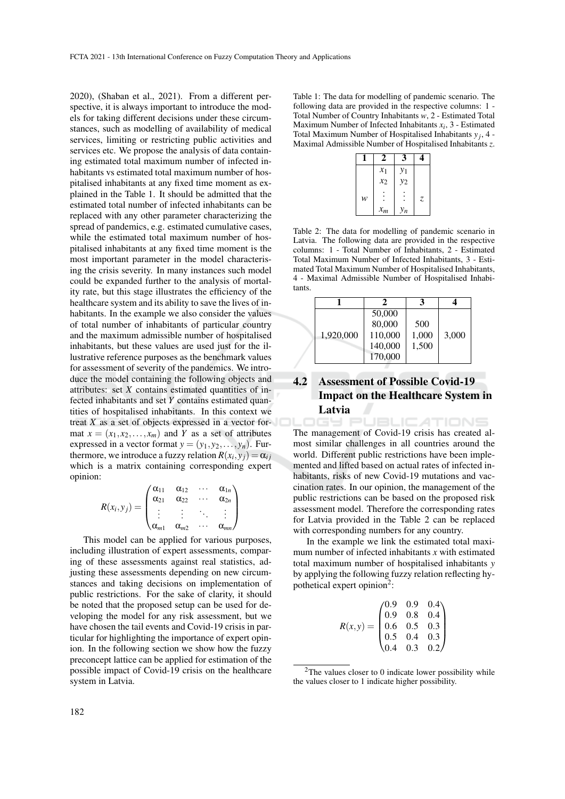2020), (Shaban et al., 2021). From a different perspective, it is always important to introduce the models for taking different decisions under these circumstances, such as modelling of availability of medical services, limiting or restricting public activities and services etc. We propose the analysis of data containing estimated total maximum number of infected inhabitants vs estimated total maximum number of hospitalised inhabitants at any fixed time moment as explained in the Table 1. It should be admitted that the estimated total number of infected inhabitants can be replaced with any other parameter characterizing the spread of pandemics, e.g. estimated cumulative cases, while the estimated total maximum number of hospitalised inhabitants at any fixed time moment is the most important parameter in the model characterising the crisis severity. In many instances such model could be expanded further to the analysis of mortality rate, but this stage illustrates the efficiency of the healthcare system and its ability to save the lives of inhabitants. In the example we also consider the values of total number of inhabitants of particular country and the maximum admissible number of hospitalised inhabitants, but these values are used just for the illustrative reference purposes as the benchmark values for assessment of severity of the pandemics. We introduce the model containing the following objects and attributes: set *X* contains estimated quantities of infected inhabitants and set *Y* contains estimated quantities of hospitalised inhabitants. In this context we treat *X* as a set of objects expressed in a vector format  $x = (x_1, x_2, \ldots, x_m)$  and *Y* as a set of attributes expressed in a vector format  $y = (y_1, y_2, \ldots, y_n)$ . Furthermore, we introduce a fuzzy relation  $R(x_i, y_j) = \alpha_{ij}$ which is a matrix containing corresponding expert opinion:

$$
R(x_i, y_j) = \begin{pmatrix} \alpha_{11} & \alpha_{12} & \cdots & \alpha_{1n} \\ \alpha_{21} & \alpha_{22} & \cdots & \alpha_{2n} \\ \vdots & \vdots & \ddots & \vdots \\ \alpha_{m1} & \alpha_{m2} & \cdots & \alpha_{mn} \end{pmatrix}
$$

This model can be applied for various purposes, including illustration of expert assessments, comparing of these assessments against real statistics, adjusting these assessments depending on new circumstances and taking decisions on implementation of public restrictions. For the sake of clarity, it should be noted that the proposed setup can be used for developing the model for any risk assessment, but we have chosen the tail events and Covid-19 crisis in particular for highlighting the importance of expert opinion. In the following section we show how the fuzzy preconcept lattice can be applied for estimation of the possible impact of Covid-19 crisis on the healthcare system in Latvia.

Table 1: The data for modelling of pandemic scenario. The following data are provided in the respective columns: 1 - Total Number of Country Inhabitants *w*, 2 - Estimated Total Maximum Number of Infected Inhabitants  $x_i$ , 3 - Estimated Total Maximum Number of Hospitalised Inhabitants  $y_j$ , 4 -Maximal Admissible Number of Hospitalised Inhabitants *z*.

|   | 2     | 3     | 4             |
|---|-------|-------|---------------|
|   | $x_1$ | $y_1$ |               |
|   | $x_2$ | $y_2$ |               |
| w |       |       | $\mathcal{Z}$ |
|   | $x_m$ | $y_n$ |               |

Table 2: The data for modelling of pandemic scenario in Latvia. The following data are provided in the respective columns: 1 - Total Number of Inhabitants, 2 - Estimated Total Maximum Number of Infected Inhabitants, 3 - Estimated Total Maximum Number of Hospitalised Inhabitants, 4 - Maximal Admissible Number of Hospitalised Inhabitants.

|           | 50,000<br>80,000 | 500   |       |
|-----------|------------------|-------|-------|
| 1,920,000 | 110,000          | 1,000 | 3,000 |
|           | 140,000          | 1,500 |       |
|           | 170,000          |       |       |

# 4.2 Assessment of Possible Covid-19 Impact on the Healthcare System in Latvia<br>DGY PUBLICATIONS

The management of Covid-19 crisis has created almost similar challenges in all countries around the world. Different public restrictions have been implemented and lifted based on actual rates of infected inhabitants, risks of new Covid-19 mutations and vaccination rates. In our opinion, the management of the public restrictions can be based on the proposed risk assessment model. Therefore the corresponding rates for Latvia provided in the Table 2 can be replaced with corresponding numbers for any country.

In the example we link the estimated total maximum number of infected inhabitants *x* with estimated total maximum number of hospitalised inhabitants *y* by applying the following fuzzy relation reflecting hypothetical expert opinion<sup>2</sup>:

| $R(x,y) = \begin{pmatrix} 0.9 & 0.9 & 0.4 \\ 0.9 & 0.8 & 0.4 \\ 0.6 & 0.5 & 0.3 \\ 0.5 & 0.4 & 0.3 \\ 0.4 & 0.3 & 0.2 \end{pmatrix}$ |  |  |
|--------------------------------------------------------------------------------------------------------------------------------------|--|--|

<sup>&</sup>lt;sup>2</sup>The values closer to 0 indicate lower possibility while the values closer to 1 indicate higher possibility.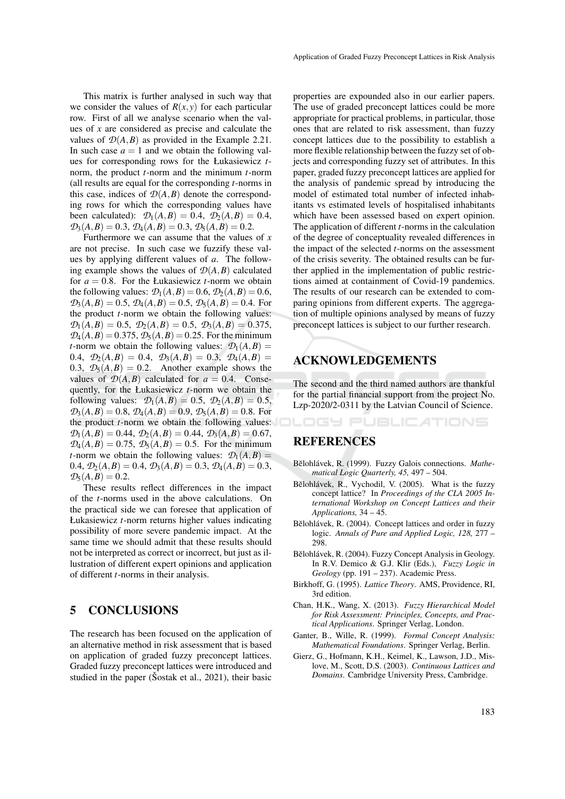Application of Graded Fuzzy Preconcept Lattices in Risk Analysis

This matrix is further analysed in such way that we consider the values of  $R(x, y)$  for each particular row. First of all we analyse scenario when the values of *x* are considered as precise and calculate the values of  $\mathcal{D}(A, B)$  as provided in the Example 2.21. In such case  $a = 1$  and we obtain the following values for corresponding rows for the Łukasiewicz *t*norm, the product *t*-norm and the minimum *t*-norm (all results are equal for the corresponding *t*-norms in this case, indices of  $\mathcal{D}(A, B)$  denote the corresponding rows for which the corresponding values have been calculated):  $\mathcal{D}_1(A, B) = 0.4$ ,  $\mathcal{D}_2(A, B) = 0.4$ ,  $\mathcal{D}_3(A,B) = 0.3$ ,  $\mathcal{D}_4(A,B) = 0.3$ ,  $\mathcal{D}_5(A,B) = 0.2$ .

Furthermore we can assume that the values of *x* are not precise. In such case we fuzzify these values by applying different values of *a*. The following example shows the values of  $\mathcal{D}(A, B)$  calculated for  $a = 0.8$ . For the Łukasiewicz *t*-norm we obtain the following values:  $\mathcal{D}_1(A, B) = 0.6$ ,  $\mathcal{D}_2(A, B) = 0.6$ ,  $\mathcal{D}_3(A,B) = 0.5$ ,  $\mathcal{D}_4(A,B) = 0.5$ ,  $\mathcal{D}_5(A,B) = 0.4$ . For the product *t*-norm we obtain the following values:  $\mathcal{D}_1(A,B) = 0.5, \ \mathcal{D}_2(A,B) = 0.5, \ \mathcal{D}_3(A,B) = 0.375,$  $\mathcal{D}_4(A, B) = 0.375, \mathcal{D}_5(A, B) = 0.25$ . For the minimum *t*-norm we obtain the following values:  $\mathcal{D}_1(A, B) =$ 0.4,  $\mathcal{D}_2(A, B) = 0.4$ ,  $\mathcal{D}_3(A, B) = 0.3$ ,  $\mathcal{D}_4(A, B) =$ 0.3,  $\mathcal{D}_5(A,B) = 0.2$ . Another example shows the values of  $D(A, B)$  calculated for  $a = 0.4$ . Consequently, for the Łukasiewicz *t*-norm we obtain the following values:  $\mathcal{D}_1(A, B) = 0.5$ ,  $\mathcal{D}_2(A, B) = 0.5$ ,  $\mathcal{D}_3(A, B) = 0.8$ ,  $\mathcal{D}_4(A, B) = 0.9$ ,  $\mathcal{D}_5(A, B) = 0.8$ . For the product *t*-norm we obtain the following values:  $\mathcal{D}_1(A,B) = 0.44, \ \mathcal{D}_2(A,B) = 0.44, \ \mathcal{D}_3(A,B) = 0.67,$  $\mathcal{D}_4(A, B) = 0.75$ ,  $\mathcal{D}_5(A, B) = 0.5$ . For the minimum *t*-norm we obtain the following values:  $\mathcal{D}_1(A, B) =$ 0.4,  $\mathcal{D}_2(A, B) = 0.4$ ,  $\mathcal{D}_3(A, B) = 0.3$ ,  $\mathcal{D}_4(A, B) = 0.3$ ,  $\mathcal{D}_5(A,B) = 0.2$ .

These results reflect differences in the impact of the *t*-norms used in the above calculations. On the practical side we can foresee that application of Łukasiewicz *t*-norm returns higher values indicating possibility of more severe pandemic impact. At the same time we should admit that these results should not be interpreted as correct or incorrect, but just as illustration of different expert opinions and application of different *t*-norms in their analysis.

### 5 CONCLUSIONS

The research has been focused on the application of an alternative method in risk assessment that is based on application of graded fuzzy preconcept lattices. Graded fuzzy preconcept lattices were introduced and studied in the paper (Šostak et al., 2021), their basic

properties are expounded also in our earlier papers. The use of graded preconcept lattices could be more appropriate for practical problems, in particular, those ones that are related to risk assessment, than fuzzy concept lattices due to the possibility to establish a more flexible relationship between the fuzzy set of objects and corresponding fuzzy set of attributes. In this paper, graded fuzzy preconcept lattices are applied for the analysis of pandemic spread by introducing the model of estimated total number of infected inhabitants vs estimated levels of hospitalised inhabitants which have been assessed based on expert opinion. The application of different *t*-norms in the calculation of the degree of conceptuality revealed differences in the impact of the selected *t*-norms on the assessment of the crisis severity. The obtained results can be further applied in the implementation of public restrictions aimed at containment of Covid-19 pandemics. The results of our research can be extended to comparing opinions from different experts. The aggregation of multiple opinions analysed by means of fuzzy preconcept lattices is subject to our further research.

## ACKNOWLEDGEMENTS

The second and the third named authors are thankful for the partial financial support from the project No. Lzp-2020/2-0311 by the Latvian Council of Science.

OGY PUBLICATIONS

## REFERENCES

- Bělohlávek, R. (1999). Fuzzy Galois connections. Mathe*matical Logic Quarterly, 45,* 497 – 504.
- Bělohlávek, R., Vychodil, V. (2005). What is the fuzzy concept lattice? In *Proceedings of the CLA 2005 International Workshop on Concept Lattices and their Applications,* 34 – 45.
- Bĕlohlávek, R. (2004). Concept lattices and order in fuzzy logic. *Annals of Pure and Applied Logic, 128,* 277 – 298.
- Bělohlávek, R. (2004). Fuzzy Concept Analysis in Geology. In R.V. Demico & G.J. Klir (Eds.), *Fuzzy Logic in Geology* (pp. 191 – 237). Academic Press.
- Birkhoff, G. (1995). *Lattice Theory*. AMS, Providence, RI, 3rd edition.
- Chan, H.K., Wang, X. (2013). *Fuzzy Hierarchical Model for Risk Assessment: Principles, Concepts, and Practical Applications*. Springer Verlag, London.
- Ganter, B., Wille, R. (1999). *Formal Concept Analysis: Mathematical Foundations*. Springer Verlag, Berlin.
- Gierz, G., Hofmann, K.H., Keimel, K., Lawson, J.D., Mislove, M., Scott, D.S. (2003). *Continuous Lattices and Domains*. Cambridge University Press, Cambridge.